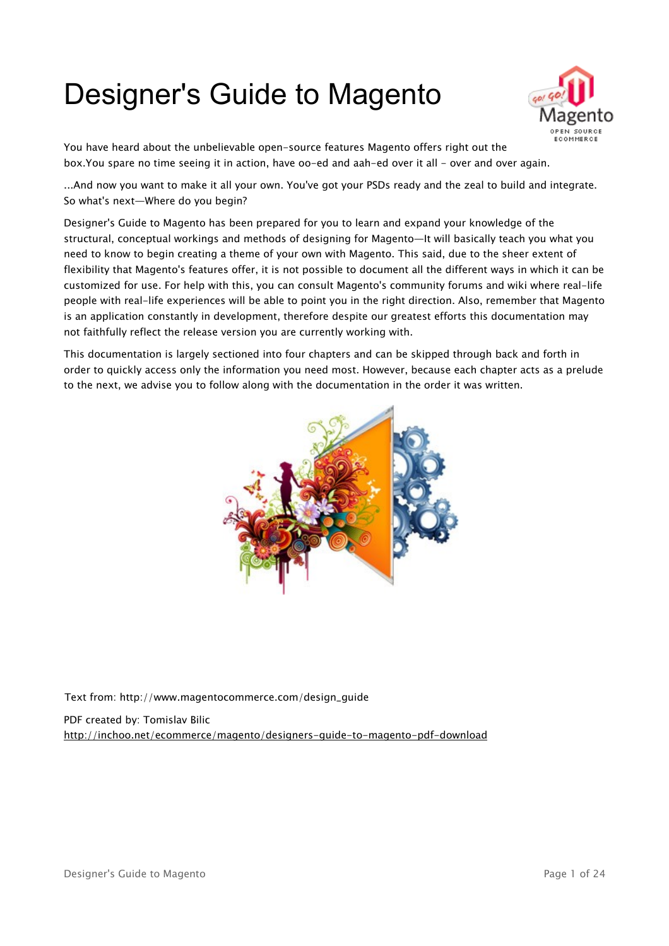# Designer's Guide to Magento



You have heard about the unbelievable open-source features Magento offers right out the box.You spare no time seeing it in action, have oo-ed and aah-ed over it all - over and over again.

...And now you want to make it all your own. You've got your PSDs ready and the zeal to build and integrate. So what's next—Where do you begin?

Designer's Guide to Magento has been prepared for you to learn and expand your knowledge of the structural, conceptual workings and methods of designing for Magento—It will basically teach you what you need to know to begin creating a theme of your own with Magento. This said, due to the sheer extent of flexibility that Magento's features offer, it is not possible to document all the different ways in which it can be customized for use. For help with this, you can consult Magento's community forums and wiki where real-life people with real-life experiences will be able to point you in the right direction. Also, remember that Magento is an application constantly in development, therefore despite our greatest efforts this documentation may not faithfully reflect the release version you are currently working with.

This documentation is largely sectioned into four chapters and can be skipped through back and forth in order to quickly access only the information you need most. However, because each chapter acts as a prelude to the next, we advise you to follow along with the documentation in the order it was written.



Text from: http://www.magentocommerce.com/design\_guide

PDF created by: Tomislav Bilic <http://inchoo.net/ecommerce/magento/designers-guide-to-magento-pdf-download>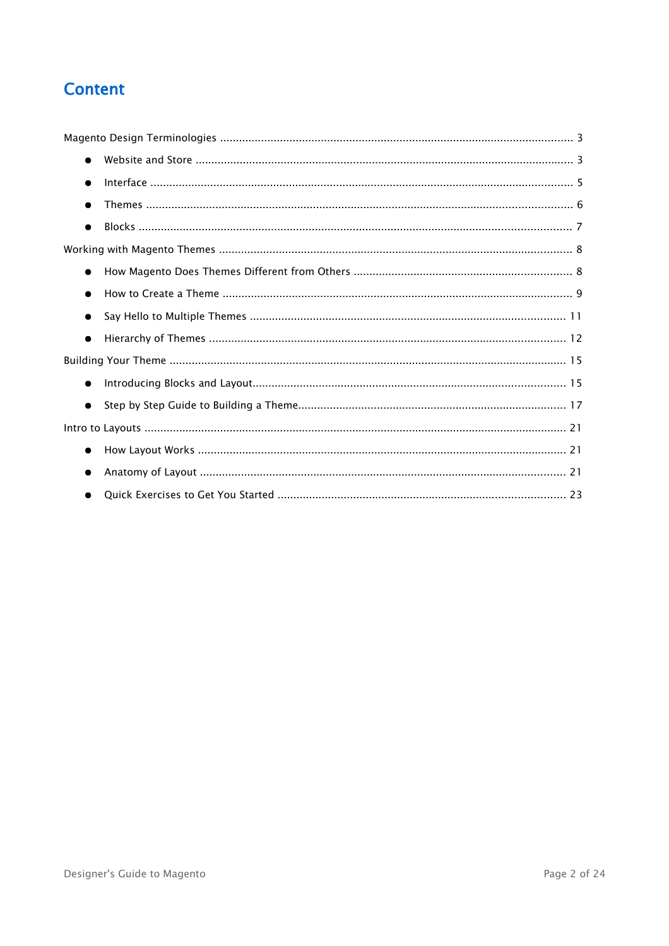## **Content**

| $\bullet$ |  |
|-----------|--|
| $\bullet$ |  |
| $\bullet$ |  |
| $\bullet$ |  |
|           |  |
| $\bullet$ |  |
| $\bullet$ |  |
| $\bullet$ |  |
| $\bullet$ |  |
|           |  |
| $\bullet$ |  |
| $\bullet$ |  |
|           |  |
| $\bullet$ |  |
| $\bullet$ |  |
|           |  |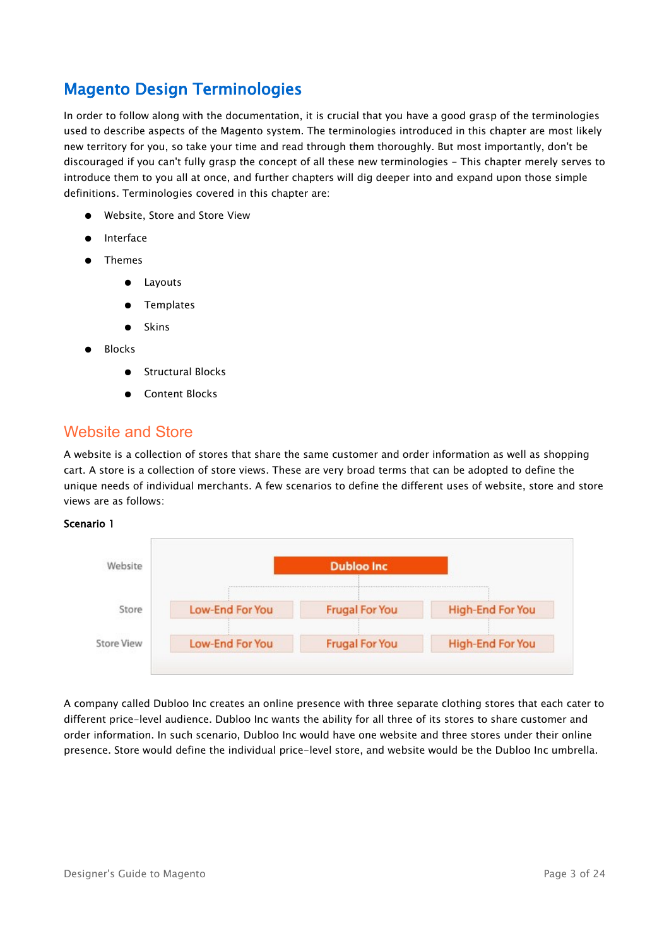## <span id="page-2-0"></span>Magento Design Terminologies

In order to follow along with the documentation, it is crucial that you have a good grasp of the terminologies used to describe aspects of the Magento system. The terminologies introduced in this chapter are most likely new territory for you, so take your time and read through them thoroughly. But most importantly, don't be discouraged if you can't fully grasp the concept of all these new terminologies - This chapter merely serves to introduce them to you all at once, and further chapters will dig deeper into and expand upon those simple definitions. Terminologies covered in this chapter are:

- Website, Store and Store View
- **Interface**
- Themes
	- Layouts
	- **Templates**
	- Skins
- **Blocks** 
	- **Structural Blocks**
	- Content Blocks

## <span id="page-2-1"></span>Website and Store

A website is a collection of stores that share the same customer and order information as well as shopping cart. A store is a collection of store views. These are very broad terms that can be adopted to define the unique needs of individual merchants. A few scenarios to define the different uses of website, store and store views are as follows:

#### Scenario 1



A company called Dubloo Inc creates an online presence with three separate clothing stores that each cater to different price-level audience. Dubloo Inc wants the ability for all three of its stores to share customer and order information. In such scenario, Dubloo Inc would have one website and three stores under their online presence. Store would define the individual price-level store, and website would be the Dubloo Inc umbrella.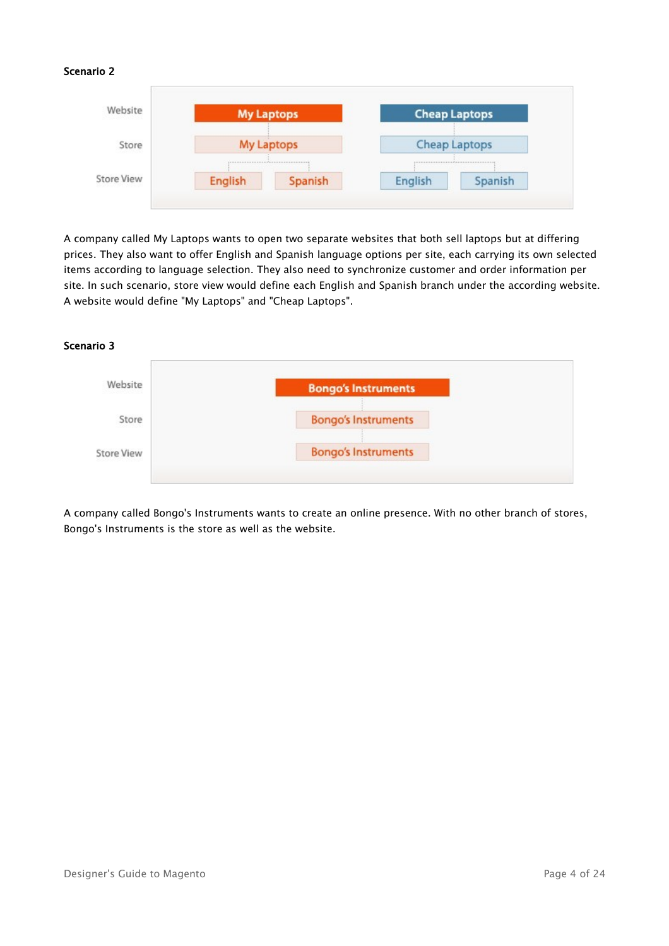## Scenario 2



A company called My Laptops wants to open two separate websites that both sell laptops but at differing prices. They also want to offer English and Spanish language options per site, each carrying its own selected items according to language selection. They also need to synchronize customer and order information per site. In such scenario, store view would define each English and Spanish branch under the according website. A website would define "My Laptops" and "Cheap Laptops".

#### Scenario 3



A company called Bongo's Instruments wants to create an online presence. With no other branch of stores, Bongo's Instruments is the store as well as the website.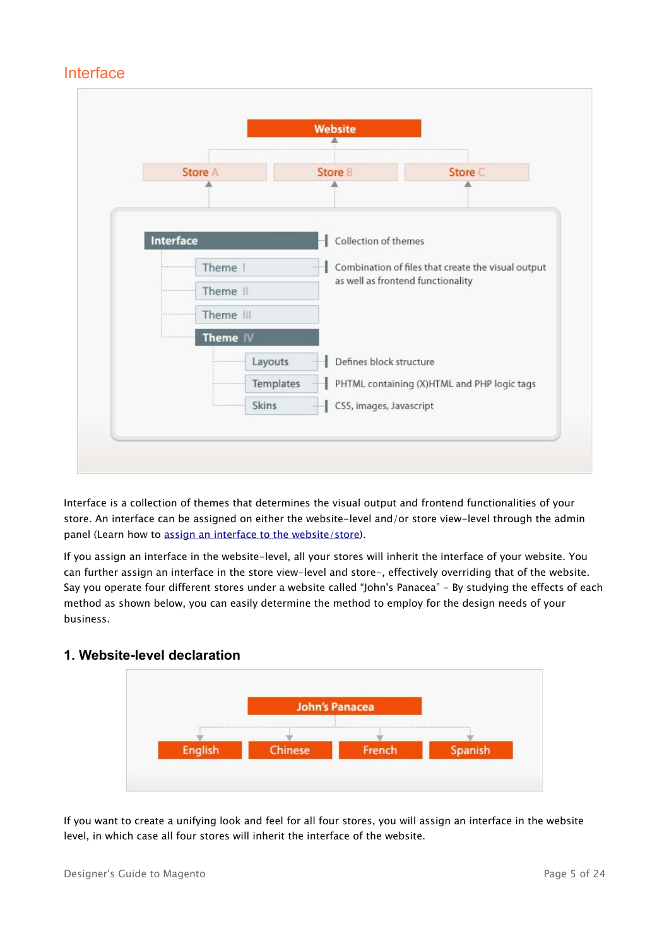## <span id="page-4-0"></span>Interface



Interface is a collection of themes that determines the visual output and frontend functionalities of your store. An interface can be assigned on either the website-level and/or store view-level through the admin panel (Learn how to [assign an interface to the website/store\)](#page-4-1).

If you assign an interface in the website-level, all your stores will inherit the interface of your website. You can further assign an interface in the store view-level and store-, effectively overriding that of the website. Say you operate four different stores under a website called "John's Panacea" - By studying the effects of each method as shown below, you can easily determine the method to employ for the design needs of your business.

## **1. Website-level declaration**

<span id="page-4-1"></span>

If you want to create a unifying look and feel for all four stores, you will assign an interface in the website level, in which case all four stores will inherit the interface of the website.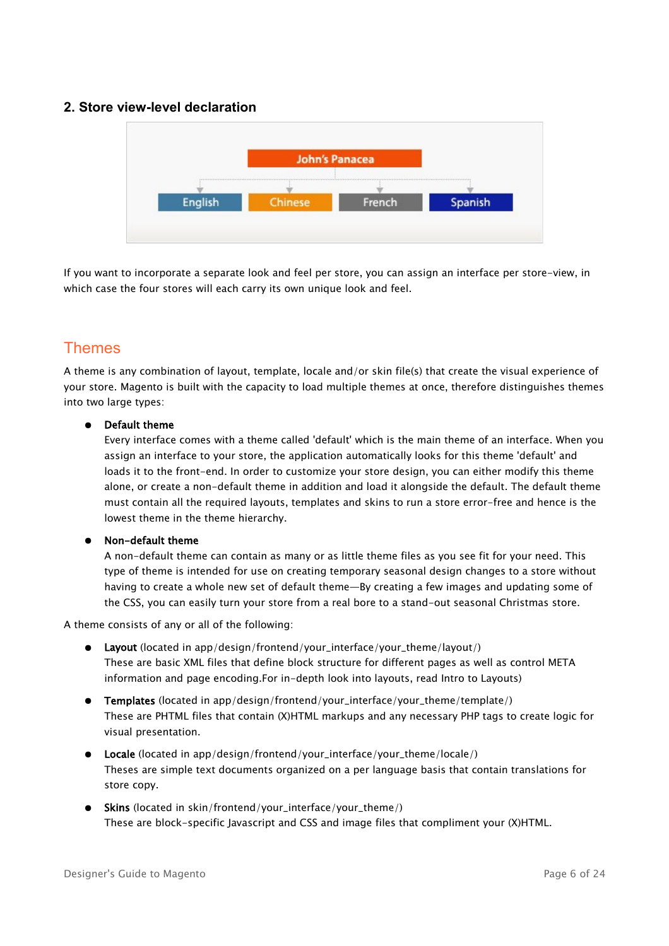## **2. Store view-level declaration**



If you want to incorporate a separate look and feel per store, you can assign an interface per store-view, in which case the four stores will each carry its own unique look and feel.

## <span id="page-5-0"></span>Themes

A theme is any combination of layout, template, locale and/or skin file(s) that create the visual experience of your store. Magento is built with the capacity to load multiple themes at once, therefore distinguishes themes into two large types:

## ● Default theme

Every interface comes with a theme called 'default' which is the main theme of an interface. When you assign an interface to your store, the application automatically looks for this theme 'default' and loads it to the front-end. In order to customize your store design, you can either modify this theme alone, or create a non-default theme in addition and load it alongside the default. The default theme must contain all the required layouts, templates and skins to run a store error-free and hence is the lowest theme in the theme hierarchy.

## ● Non-default theme

A non-default theme can contain as many or as little theme files as you see fit for your need. This type of theme is intended for use on creating temporary seasonal design changes to a store without having to create a whole new set of default theme—By creating a few images and updating some of the CSS, you can easily turn your store from a real bore to a stand-out seasonal Christmas store.

A theme consists of any or all of the following:

- Layout (located in app/design/frontend/your\_interface/your\_theme/layout/) These are basic XML files that define block structure for different pages as well as control META information and page encoding.For in-depth look into layouts, read Intro to Layouts)
- Templates (located in app/design/frontend/your\_interface/your\_theme/template/) These are PHTML files that contain (X)HTML markups and any necessary PHP tags to create logic for visual presentation.
- Locale (located in app/design/frontend/your\_interface/your\_theme/locale/) Theses are simple text documents organized on a per language basis that contain translations for store copy.
- Skins (located in skin/frontend/your\_interface/your\_theme/) These are block-specific Javascript and CSS and image files that compliment your (X)HTML.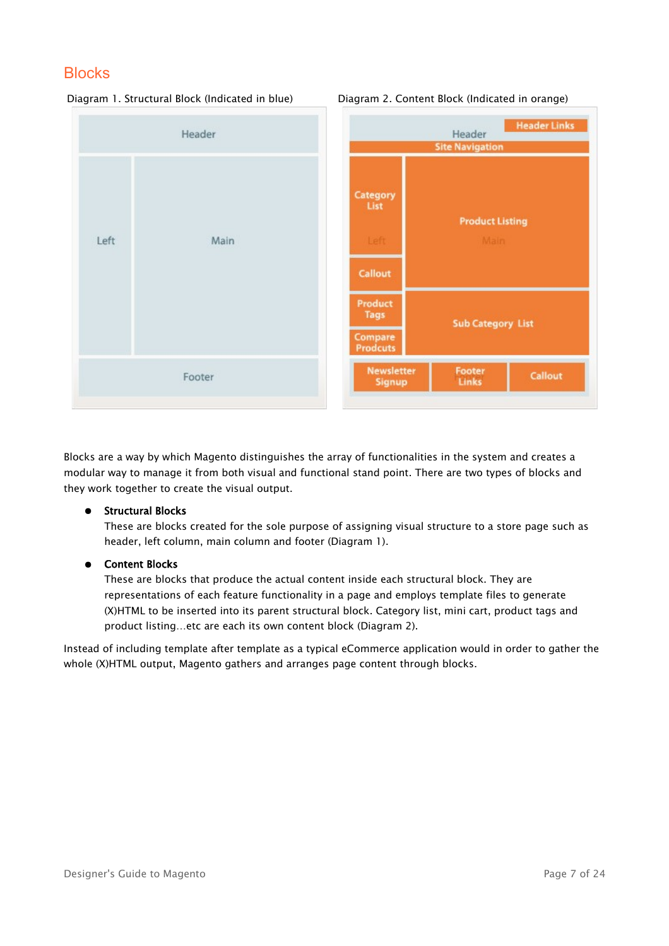## <span id="page-6-0"></span>**Blocks**



#### Diagram 1. Structural Block (Indicated in blue) Diagram 2. Content Block (Indicated in orange)

Blocks are a way by which Magento distinguishes the array of functionalities in the system and creates a modular way to manage it from both visual and functional stand point. There are two types of blocks and they work together to create the visual output.

## ● Structural Blocks

These are blocks created for the sole purpose of assigning visual structure to a store page such as header, left column, main column and footer (Diagram 1).

## ● Content Blocks

These are blocks that produce the actual content inside each structural block. They are representations of each feature functionality in a page and employs template files to generate (X)HTML to be inserted into its parent structural block. Category list, mini cart, product tags and product listing…etc are each its own content block (Diagram 2).

Instead of including template after template as a typical eCommerce application would in order to gather the whole (X)HTML output, Magento gathers and arranges page content through blocks.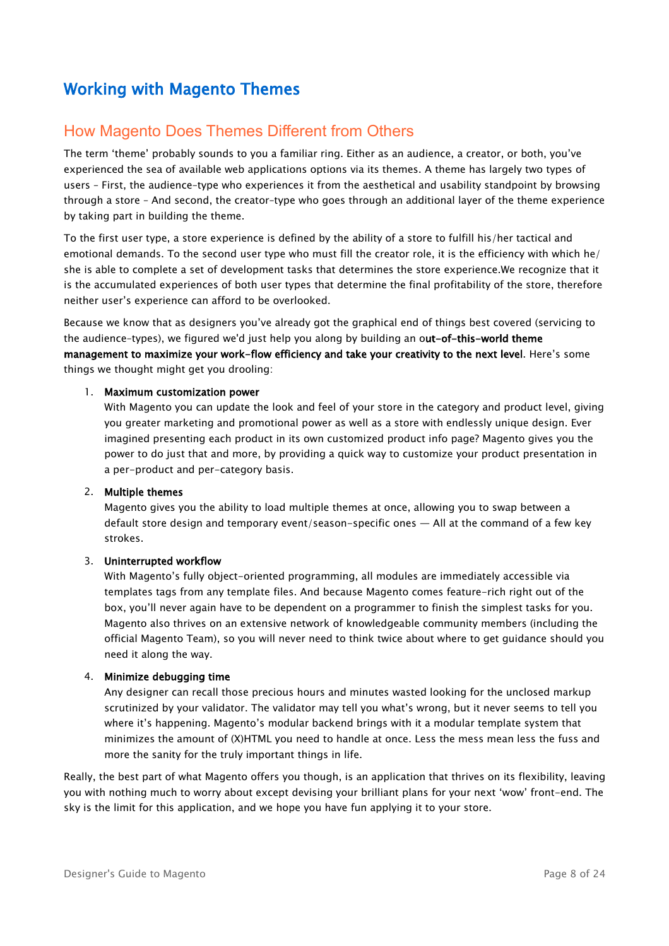## <span id="page-7-1"></span>Working with Magento Themes

## <span id="page-7-0"></span>How Magento Does Themes Different from Others

The term 'theme' probably sounds to you a familiar ring. Either as an audience, a creator, or both, you've experienced the sea of available web applications options via its themes. A theme has largely two types of users – First, the audience–type who experiences it from the aesthetical and usability standpoint by browsing through a store – And second, the creator–type who goes through an additional layer of the theme experience by taking part in building the theme.

To the first user type, a store experience is defined by the ability of a store to fulfill his/her tactical and emotional demands. To the second user type who must fill the creator role, it is the efficiency with which he/ she is able to complete a set of development tasks that determines the store experience.We recognize that it is the accumulated experiences of both user types that determine the final profitability of the store, therefore neither user's experience can afford to be overlooked.

Because we know that as designers you've already got the graphical end of things best covered (servicing to the audience-types), we figured we'd just help you along by building an out-of-this-world theme management to maximize your work-flow efficiency and take your creativity to the next level. Here's some things we thought might get you drooling:

#### 1. Maximum customization power

With Magento you can update the look and feel of your store in the category and product level, giving you greater marketing and promotional power as well as a store with endlessly unique design. Ever imagined presenting each product in its own customized product info page? Magento gives you the power to do just that and more, by providing a quick way to customize your product presentation in a per-product and per-category basis.

#### 2. Multiple themes

Magento gives you the ability to load multiple themes at once, allowing you to swap between a default store design and temporary event/season-specific ones — All at the command of a few key strokes.

## 3. Uninterrupted workflow

With Magento's fully object-oriented programming, all modules are immediately accessible via templates tags from any template files. And because Magento comes feature-rich right out of the box, you'll never again have to be dependent on a programmer to finish the simplest tasks for you. Magento also thrives on an extensive network of knowledgeable community members (including the official Magento Team), so you will never need to think twice about where to get guidance should you need it along the way.

## 4. Minimize debugging time

Any designer can recall those precious hours and minutes wasted looking for the unclosed markup scrutinized by your validator. The validator may tell you what's wrong, but it never seems to tell you where it's happening. Magento's modular backend brings with it a modular template system that minimizes the amount of (X)HTML you need to handle at once. Less the mess mean less the fuss and more the sanity for the truly important things in life.

Really, the best part of what Magento offers you though, is an application that thrives on its flexibility, leaving you with nothing much to worry about except devising your brilliant plans for your next 'wow' front-end. The sky is the limit for this application, and we hope you have fun applying it to your store.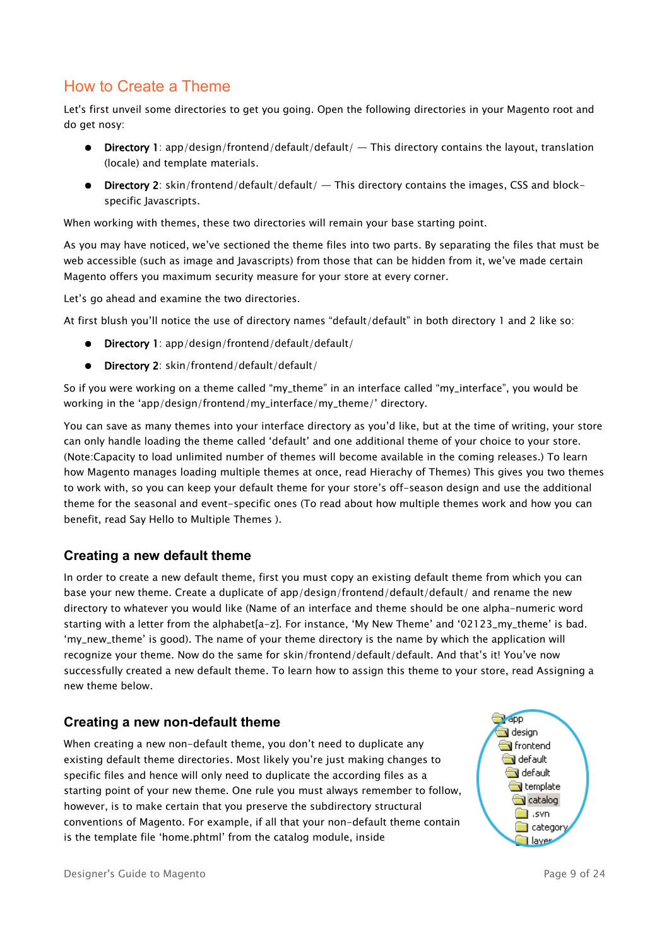## <span id="page-8-0"></span>How to Create a Theme

Let's first unveil some directories to get you going. Open the following directories in your Magento root and do get nosy:

- **•** Directory 1: app/design/frontend/default/default/  $-$  This directory contains the layout, translation (locale) and template materials.
- $\bullet$  Directory 2: skin/frontend/default/default/  $-$  This directory contains the images, CSS and blockspecific Javascripts.

When working with themes, these two directories will remain your base starting point.

As you may have noticed, we've sectioned the theme files into two parts. By separating the files that must be web accessible (such as image and Javascripts) from those that can be hidden from it, we've made certain Magento offers you maximum security measure for your store at every corner.

Let's go ahead and examine the two directories.

At first blush you'll notice the use of directory names "default/default" in both directory 1 and 2 like so:

- Directory 1: app/design/frontend/default/default/
- Directory 2: skin/frontend/default/default/

So if you were working on a theme called "my\_theme" in an interface called "my\_interface", you would be working in the 'app/design/frontend/my\_interface/my\_theme/' directory.

You can save as many themes into your interface directory as you'd like, but at the time of writing, your store can only handle loading the theme called 'default' and one additional theme of your choice to your store. (Note:Capacity to load unlimited number of themes will become available in the coming releases.) To learn how Magento manages loading multiple themes at once, read Hierachy of Themes) This gives you two themes to work with, so you can keep your default theme for your store's off-season design and use the additional theme for the seasonal and event-specific ones (To read about how multiple themes work and how you can benefit, read Say Hello to Multiple Themes ).

## **Creating a new default theme**

In order to create a new default theme, first you must copy an existing default theme from which you can base your new theme. Create a duplicate of app/design/frontend/default/default/ and rename the new directory to whatever you would like (Name of an interface and theme should be one alpha-numeric word starting with a letter from the alphabet[a-z]. For instance, 'My New Theme' and '02123\_my\_theme' is bad. 'my\_new\_theme' is good). The name of your theme directory is the name by which the application will recognize your theme. Now do the same for skin/frontend/default/default. And that's it! You've now successfully created a new default theme. To learn how to assign this theme to your store, read Assigning a new theme below.

## **Creating a new non-default theme**

When creating a new non-default theme, you don't need to duplicate any existing default theme directories. Most likely you're just making changes to specific files and hence will only need to duplicate the according files as a starting point of your new theme. One rule you must always remember to follow, however, is to make certain that you preserve the subdirectory structural conventions of Magento. For example, if all that your non-default theme contain is the template file 'home.phtml' from the catalog module, inside

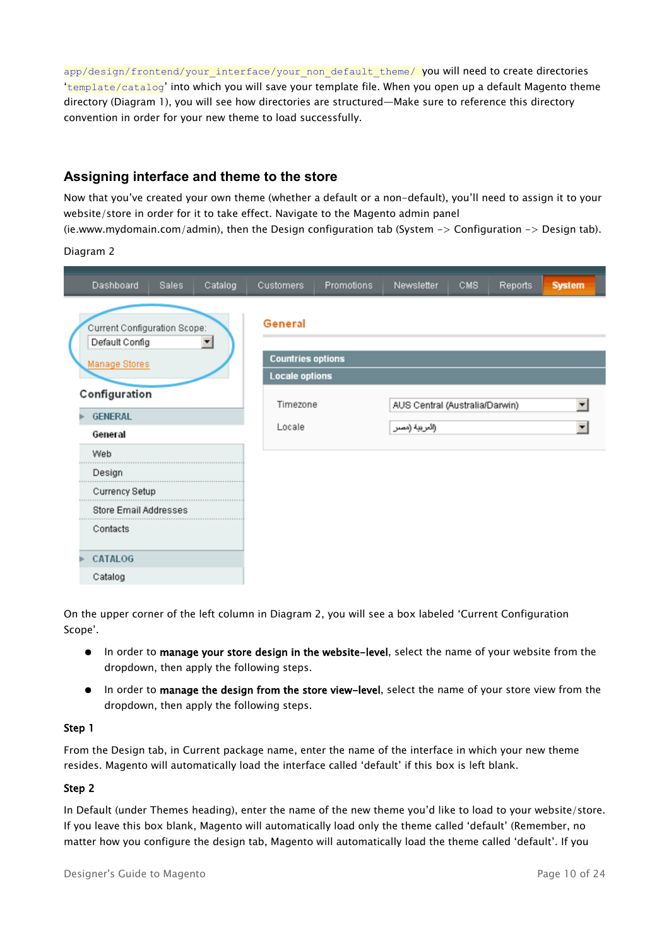app/design/frontend/your\_interface/your\_non\_default\_theme/ you will need to create directories 'template/catalog' into which you will save your template file. When you open up a default Magento theme directory (Diagram 1), you will see how directories are structured—Make sure to reference this directory convention in order for your new theme to load successfully.

## **Assigning interface and theme to the store**

Now that you've created your own theme (whether a default or a non-default), you'll need to assign it to your website/store in order for it to take effect. Navigate to the Magento admin panel

(ie.www.mydomain.com/admin), then the Design configuration tab (System -> Configuration -> Design tab).

Diagram 2

| Dashboard<br>Catalog<br>Sales                                          | <b>Customers</b>                                             | Promotions | Newsletter                     | CMS. | Reports | <b>System</b> |
|------------------------------------------------------------------------|--------------------------------------------------------------|------------|--------------------------------|------|---------|---------------|
| Current Configuration Scope:<br>Default Config<br><b>Manage Stores</b> | General<br><b>Countries options</b><br><b>Locale options</b> |            |                                |      |         |               |
| Configuration                                                          | Timezone                                                     |            | AUS Central (Australia/Darwin) |      |         | ٠             |
| <b>GENERAL</b>                                                         | Locale                                                       |            | (العربية (مصر                  |      |         |               |
| General                                                                |                                                              |            |                                |      |         |               |
| Web                                                                    |                                                              |            |                                |      |         |               |
| Design                                                                 |                                                              |            |                                |      |         |               |
| Currency Setup                                                         |                                                              |            |                                |      |         |               |
| Store Email Addresses                                                  |                                                              |            |                                |      |         |               |
| Contacts                                                               |                                                              |            |                                |      |         |               |
| CATALOG                                                                |                                                              |            |                                |      |         |               |
| Catalog                                                                |                                                              |            |                                |      |         |               |

On the upper corner of the left column in Diagram 2, you will see a box labeled 'Current Configuration Scope'.

- In order to manage your store design in the website-level, select the name of your website from the dropdown, then apply the following steps.
- In order to manage the design from the store view-level, select the name of your store view from the dropdown, then apply the following steps.

#### Step 1

From the Design tab, in Current package name, enter the name of the interface in which your new theme resides. Magento will automatically load the interface called 'default' if this box is left blank.

## Step 2

In Default (under Themes heading), enter the name of the new theme you'd like to load to your website/store. If you leave this box blank, Magento will automatically load only the theme called 'default' (Remember, no matter how you configure the design tab, Magento will automatically load the theme called 'default'. If you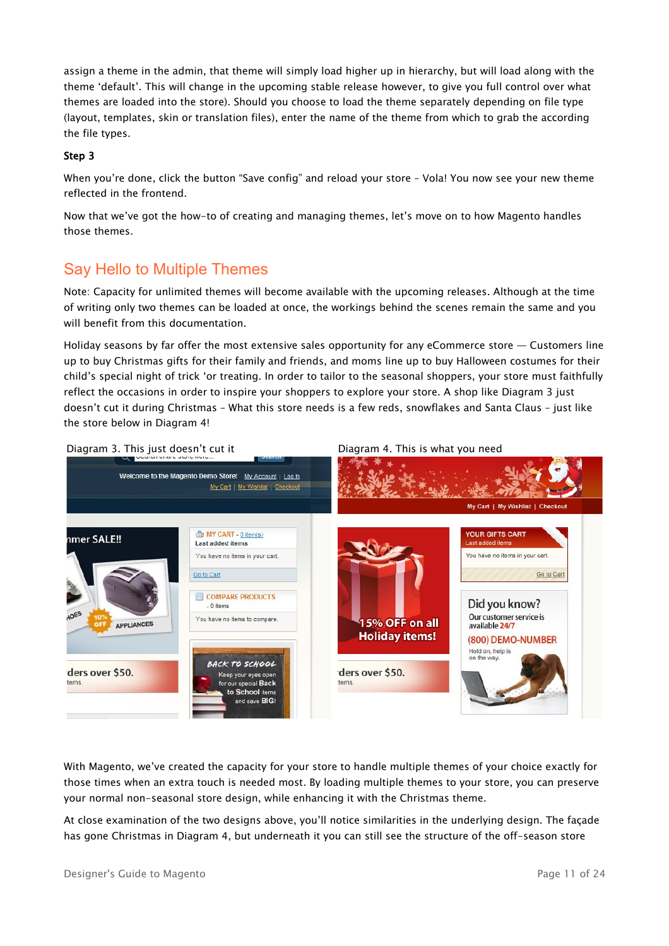assign a theme in the admin, that theme will simply load higher up in hierarchy, but will load along with the theme 'default'. This will change in the upcoming stable release however, to give you full control over what themes are loaded into the store). Should you choose to load the theme separately depending on file type (layout, templates, skin or translation files), enter the name of the theme from which to grab the according the file types.

#### Step 3

When you're done, click the button "Save config" and reload your store – Vola! You now see your new theme reflected in the frontend.

Now that we've got the how-to of creating and managing themes, let's move on to how Magento handles those themes.

## <span id="page-10-0"></span>Say Hello to Multiple Themes

Note: Capacity for unlimited themes will become available with the upcoming releases. Although at the time of writing only two themes can be loaded at once, the workings behind the scenes remain the same and you will benefit from this documentation.

Holiday seasons by far offer the most extensive sales opportunity for any eCommerce store — Customers line up to buy Christmas gifts for their family and friends, and moms line up to buy Halloween costumes for their child's special night of trick 'or treating. In order to tailor to the seasonal shoppers, your store must faithfully reflect the occasions in order to inspire your shoppers to explore your store. A shop like Diagram 3 just doesn't cut it during Christmas – What this store needs is a few reds, snowflakes and Santa Claus – just like the store below in Diagram 4!

Welcome to the Magento Demo Store! My Account | Log In My Cart | My Wishlist | Checkout My Cart | My Wishlist | Checkout MY CART - 0 item(s) **YOUR GIFTS CART** nmer SALE!! Last added items You have no items in your cart. You have no items in your cart. Go to Cart Go to Cart **ED COMPARE PRODUCTS** Did you know? You have no items to compare Our customer service is 15% OFF on all APPLIANCES available 24/7 **Holiday items!** (800) DEMO-NUMBER Hold on, help is on the way BACK TO SCHOOL ders over \$50. ders over \$50. Keep your eyes open tems for our special Back tems to School items and save BIG

With Magento, we've created the capacity for your store to handle multiple themes of your choice exactly for those times when an extra touch is needed most. By loading multiple themes to your store, you can preserve your normal non-seasonal store design, while enhancing it with the Christmas theme.

At close examination of the two designs above, you'll notice similarities in the underlying design. The façade has gone Christmas in Diagram 4, but underneath it you can still see the structure of the off-season store

Diagram 3. This just doesn't cut it Diagram 4. This is what you need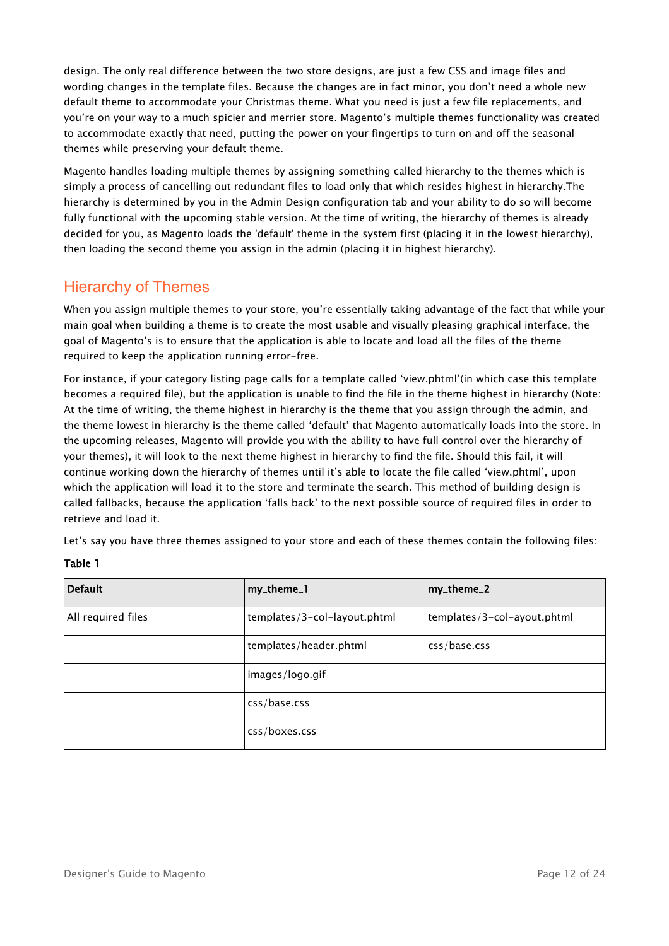design. The only real difference between the two store designs, are just a few CSS and image files and wording changes in the template files. Because the changes are in fact minor, you don't need a whole new default theme to accommodate your Christmas theme. What you need is just a few file replacements, and you're on your way to a much spicier and merrier store. Magento's multiple themes functionality was created to accommodate exactly that need, putting the power on your fingertips to turn on and off the seasonal themes while preserving your default theme.

Magento handles loading multiple themes by assigning something called hierarchy to the themes which is simply a process of cancelling out redundant files to load only that which resides highest in hierarchy.The hierarchy is determined by you in the Admin Design configuration tab and your ability to do so will become fully functional with the upcoming stable version. At the time of writing, the hierarchy of themes is already decided for you, as Magento loads the 'default' theme in the system first (placing it in the lowest hierarchy), then loading the second theme you assign in the admin (placing it in highest hierarchy).

## <span id="page-11-0"></span>Hierarchy of Themes

When you assign multiple themes to your store, you're essentially taking advantage of the fact that while your main goal when building a theme is to create the most usable and visually pleasing graphical interface, the goal of Magento's is to ensure that the application is able to locate and load all the files of the theme required to keep the application running error-free.

For instance, if your category listing page calls for a template called 'view.phtml'(in which case this template becomes a required file), but the application is unable to find the file in the theme highest in hierarchy (Note: At the time of writing, the theme highest in hierarchy is the theme that you assign through the admin, and the theme lowest in hierarchy is the theme called 'default' that Magento automatically loads into the store. In the upcoming releases, Magento will provide you with the ability to have full control over the hierarchy of your themes), it will look to the next theme highest in hierarchy to find the file. Should this fail, it will continue working down the hierarchy of themes until it's able to locate the file called 'view.phtml', upon which the application will load it to the store and terminate the search. This method of building design is called fallbacks, because the application 'falls back' to the next possible source of required files in order to retrieve and load it.

Let's say you have three themes assigned to your store and each of these themes contain the following files:

## Table 1

| <b>Default</b>     | my_theme_1                   | my_theme_2                  |
|--------------------|------------------------------|-----------------------------|
| All required files | templates/3-col-layout.phtml | templates/3-col-ayout.phtml |
|                    | templates/header.phtml       | css/base.css                |
|                    | images/logo.gif              |                             |
|                    | css/base.css                 |                             |
|                    | css/boxes.css                |                             |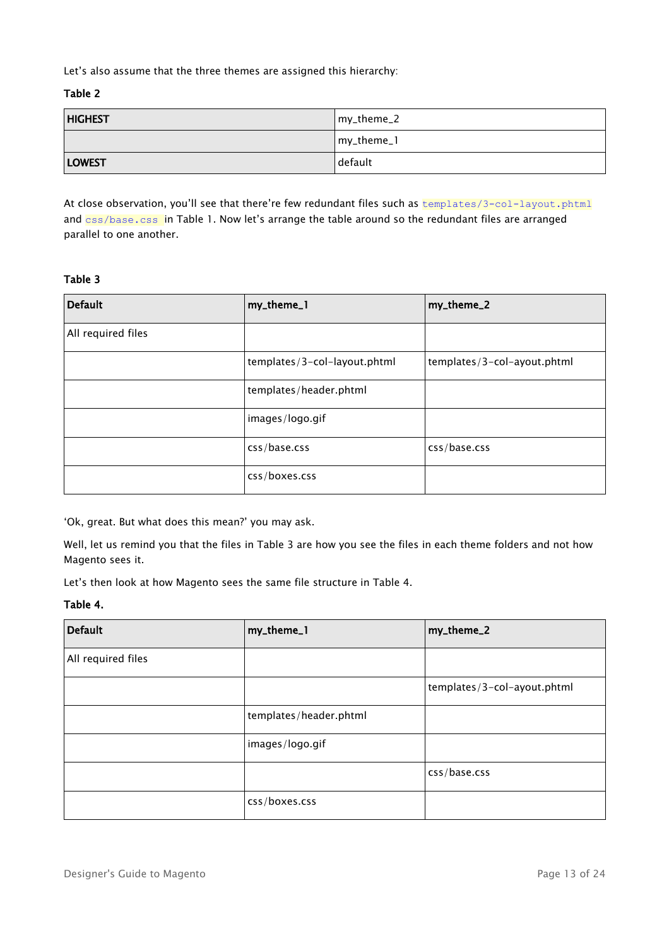Let's also assume that the three themes are assigned this hierarchy:

Table 2

| <b>HIGHEST</b> | my_theme_2 |
|----------------|------------|
|                | my_theme_1 |
| <b>LOWEST</b>  | default    |

At close observation, you'll see that there're few redundant files such as **templates/3-col-layout.phtml** and css/base.css in Table 1. Now let's arrange the table around so the redundant files are arranged parallel to one another.

## Table 3

| <b>Default</b>     | my_theme_1                   | my_theme_2                  |
|--------------------|------------------------------|-----------------------------|
| All required files |                              |                             |
|                    | templates/3-col-layout.phtml | templates/3-col-ayout.phtml |
|                    | templates/header.phtml       |                             |
|                    | images/logo.gif              |                             |
|                    | css/base.css                 | css/base.css                |
|                    | css/boxes.css                |                             |

'Ok, great. But what does this mean?' you may ask.

Well, let us remind you that the files in Table 3 are how you see the files in each theme folders and not how Magento sees it.

Let's then look at how Magento sees the same file structure in Table 4.

#### Table 4.

| <b>Default</b>     | my_theme_1             | my_theme_2                  |
|--------------------|------------------------|-----------------------------|
| All required files |                        |                             |
|                    |                        | templates/3-col-ayout.phtml |
|                    | templates/header.phtml |                             |
|                    | images/logo.gif        |                             |
|                    |                        | css/base.css                |
|                    | css/boxes.css          |                             |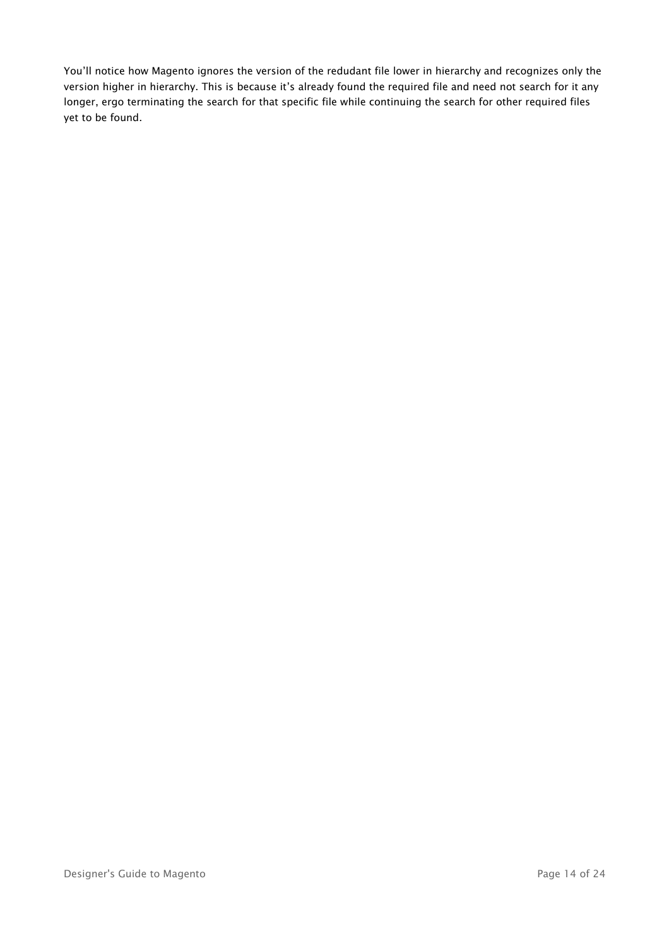You'll notice how Magento ignores the version of the redudant file lower in hierarchy and recognizes only the version higher in hierarchy. This is because it's already found the required file and need not search for it any longer, ergo terminating the search for that specific file while continuing the search for other required files yet to be found.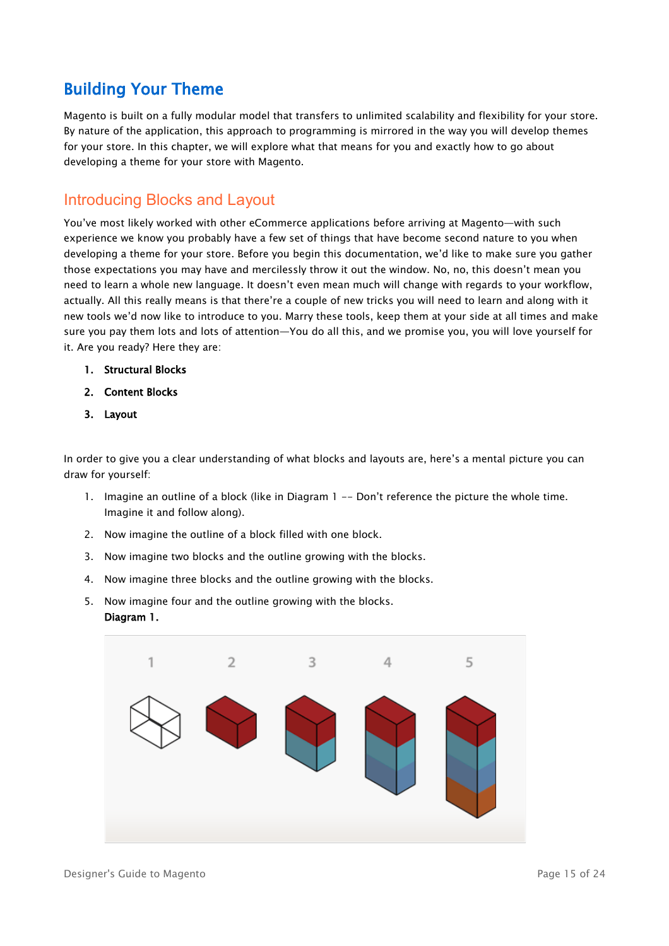## <span id="page-14-1"></span>Building Your Theme

Magento is built on a fully modular model that transfers to unlimited scalability and flexibility for your store. By nature of the application, this approach to programming is mirrored in the way you will develop themes for your store. In this chapter, we will explore what that means for you and exactly how to go about developing a theme for your store with Magento.

## <span id="page-14-0"></span>Introducing Blocks and Layout

You've most likely worked with other eCommerce applications before arriving at Magento—with such experience we know you probably have a few set of things that have become second nature to you when developing a theme for your store. Before you begin this documentation, we'd like to make sure you gather those expectations you may have and mercilessly throw it out the window. No, no, this doesn't mean you need to learn a whole new language. It doesn't even mean much will change with regards to your workflow, actually. All this really means is that there're a couple of new tricks you will need to learn and along with it new tools we'd now like to introduce to you. Marry these tools, keep them at your side at all times and make sure you pay them lots and lots of attention—You do all this, and we promise you, you will love yourself for it. Are you ready? Here they are:

- 1. Structural Blocks
- 2. Content Blocks
- 3. Layout

In order to give you a clear understanding of what blocks and layouts are, here's a mental picture you can draw for yourself:

- 1. Imagine an outline of a block (like in Diagram 1 -- Don't reference the picture the whole time. Imagine it and follow along).
- 2. Now imagine the outline of a block filled with one block.
- 3. Now imagine two blocks and the outline growing with the blocks.
- 4. Now imagine three blocks and the outline growing with the blocks.
- 5. Now imagine four and the outline growing with the blocks. Diagram 1.

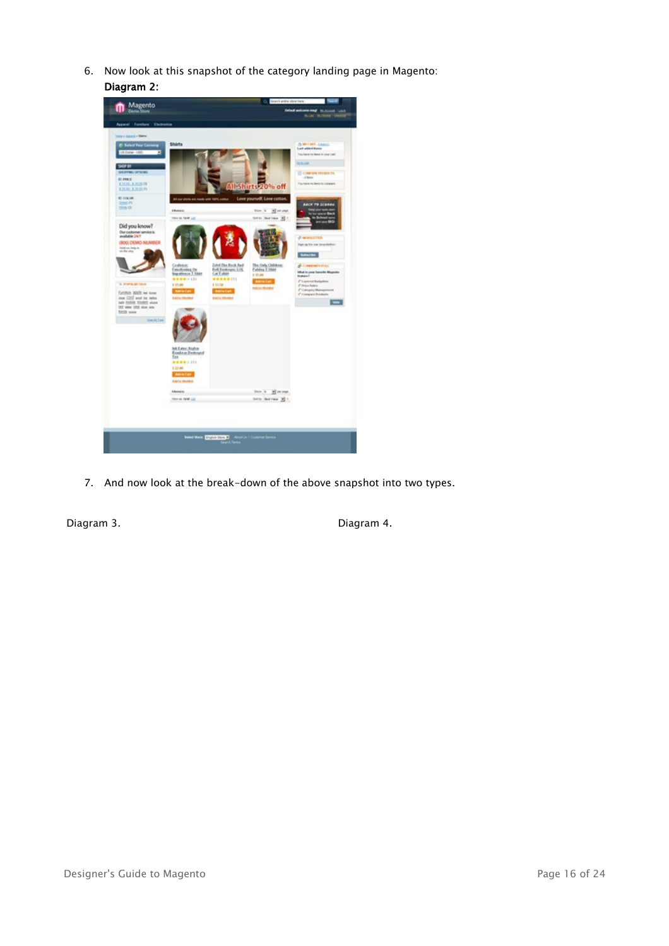6. Now look at this snapshot of the category landing page in Magento: Diagram 2:



7. And now look at the break-down of the above snapshot into two types.

Diagram 3. Diagram 4.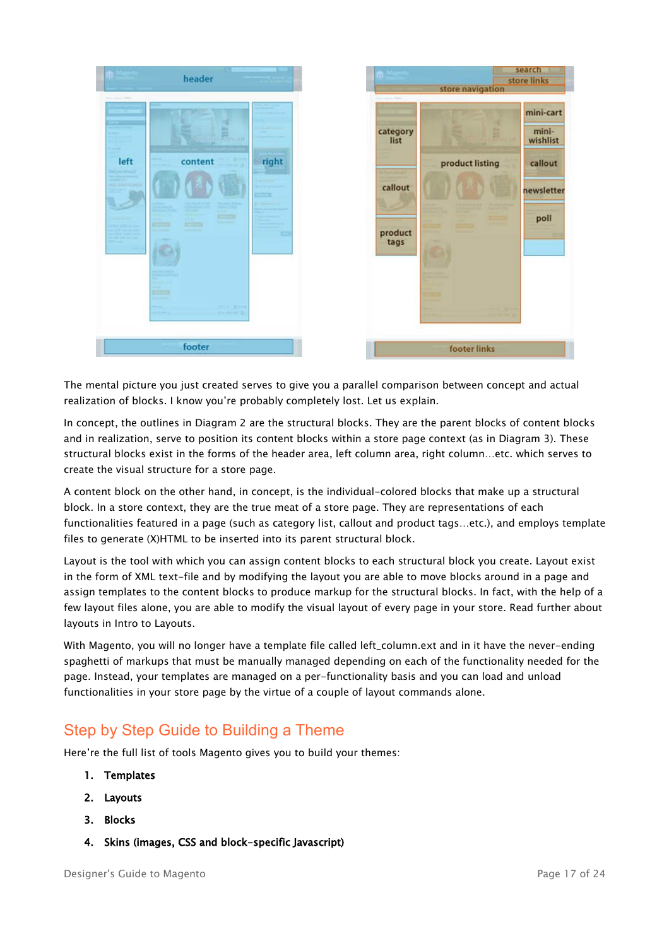| ---                                                      | header                                                                                                                                                                                                                                                                                                                                                              |                |                                         | store navigation | search.<br>store links                    |
|----------------------------------------------------------|---------------------------------------------------------------------------------------------------------------------------------------------------------------------------------------------------------------------------------------------------------------------------------------------------------------------------------------------------------------------|----------------|-----------------------------------------|------------------|-------------------------------------------|
| left<br><b>Did you know!</b><br><b>Service America</b>   | 息<br>content                                                                                                                                                                                                                                                                                                                                                        | right          | category<br>list<br><b>Afginitensis</b> | product listing  | mini-cart<br>mini-<br>wishlist<br>callout |
| <b>LOS MARKET</b><br><b>PERSONAL</b><br><b>STEP SHOW</b> | Talky Like<br>Anna House, The<br><b>Sat Frederick State</b><br><b>COLLANS</b><br><b>Contract Time</b><br><b>Look</b><br><b>The Card</b><br><b>Carry</b><br><b>COST</b><br><b>Service State</b><br>虹の口<br>_<br>---<br>ø<br><b>AND ADDRESS</b><br><b>Search Breed</b><br><b>Falle</b><br><b>STATISTICS</b><br><b>COLLEGE</b><br><b>Longarity</b><br><b>SHOP STORY</b> | <b>COLLEGE</b> | callout<br>product<br>tags              |                  | newsletter<br>poll                        |
|                                                          | footer                                                                                                                                                                                                                                                                                                                                                              |                |                                         | footer links     |                                           |

The mental picture you just created serves to give you a parallel comparison between concept and actual realization of blocks. I know you're probably completely lost. Let us explain.

In concept, the outlines in Diagram 2 are the structural blocks. They are the parent blocks of content blocks and in realization, serve to position its content blocks within a store page context (as in Diagram 3). These structural blocks exist in the forms of the header area, left column area, right column…etc. which serves to create the visual structure for a store page.

A content block on the other hand, in concept, is the individual-colored blocks that make up a structural block. In a store context, they are the true meat of a store page. They are representations of each functionalities featured in a page (such as category list, callout and product tags…etc.), and employs template files to generate (X)HTML to be inserted into its parent structural block.

Layout is the tool with which you can assign content blocks to each structural block you create. Layout exist in the form of XML text-file and by modifying the layout you are able to move blocks around in a page and assign templates to the content blocks to produce markup for the structural blocks. In fact, with the help of a few layout files alone, you are able to modify the visual layout of every page in your store. Read further about layouts in Intro to Layouts.

With Magento, you will no longer have a template file called left\_column.ext and in it have the never-ending spaghetti of markups that must be manually managed depending on each of the functionality needed for the page. Instead, your templates are managed on a per-functionality basis and you can load and unload functionalities in your store page by the virtue of a couple of layout commands alone.

## <span id="page-16-0"></span>Step by Step Guide to Building a Theme

Here're the full list of tools Magento gives you to build your themes:

- 1. Templates
- 2. Layouts
- 3. Blocks
- 4. Skins (images, CSS and block-specific Javascript)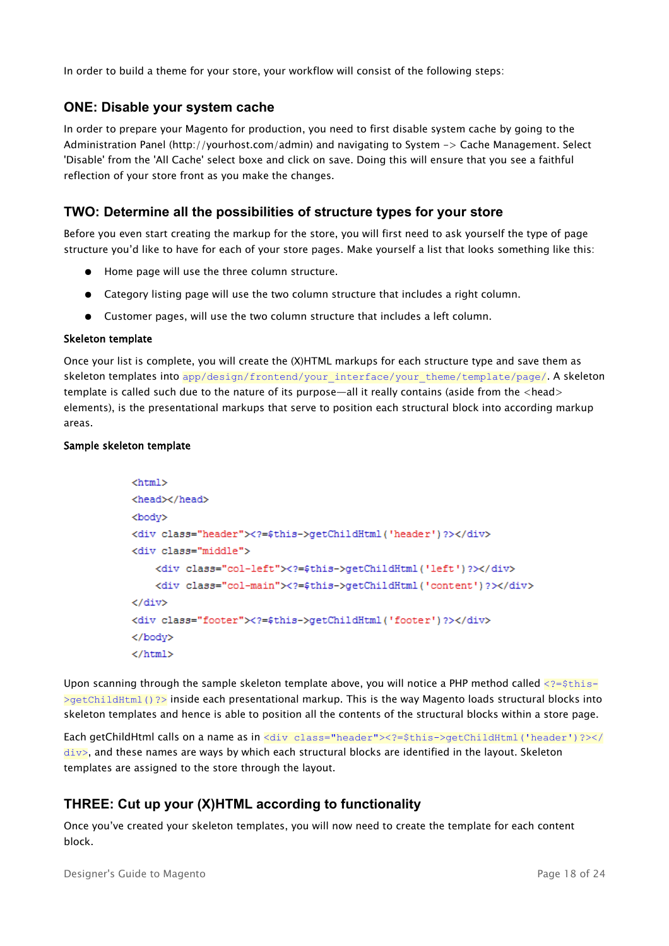In order to build a theme for your store, your workflow will consist of the following steps:

## **ONE: Disable your system cache**

In order to prepare your Magento for production, you need to first disable system cache by going to the Administration Panel (http://yourhost.com/admin) and navigating to System -> Cache Management. Select 'Disable' from the 'All Cache' select boxe and click on save. Doing this will ensure that you see a faithful reflection of your store front as you make the changes.

## **TWO: Determine all the possibilities of structure types for your store**

Before you even start creating the markup for the store, you will first need to ask yourself the type of page structure you'd like to have for each of your store pages. Make yourself a list that looks something like this:

- Home page will use the three column structure.
- Category listing page will use the two column structure that includes a right column.
- Customer pages, will use the two column structure that includes a left column.

#### Skeleton template

Once your list is complete, you will create the (X)HTML markups for each structure type and save them as skeleton templates into app/design/frontend/your\_interface/your\_theme/template/page/. A skeleton template is called such due to the nature of its purpose—all it really contains (aside from the <head> elements), is the presentational markups that serve to position each structural block into according markup areas.

#### Sample skeleton template

```
<html>
<head></head>
<body>
<div class="header"><?=$this->qetChildHtml('header')?></div>
<br />
div<br />
div<br />
div<br />
div<br />
div<br />
div<br />
div<br />
div<br />
div<br />
div<br />
div<br />
div<br />
div<br />
div<br />
div<br />
div<br />
div<br /><br /><br /><br /><br /><br /><br /><br /><br 
      <div class="col-left"><?=$this->qetChildHtml('left')?></div>
      <div class="col-main"><?=$this->qetChildHtml('content')?></div>
\langle/div>
<div class="footer"><?=$this->getChildHtml('footer')?></div>
</bodv>
\langle/html>
```
Upon scanning through the sample skeleton template above, you will notice a PHP method called  $\langle 2=5$ this- $\rightarrow$ getChildHtml()?> inside each presentational markup. This is the way Magento loads structural blocks into skeleton templates and hence is able to position all the contents of the structural blocks within a store page.

Each getChildHtml calls on a name as in <div class="header"><?=\$this->qetChildHtml('header')?></  $div$ , and these names are ways by which each structural blocks are identified in the layout. Skeleton templates are assigned to the store through the layout.

## **THREE: Cut up your (X)HTML according to functionality**

Once you've created your skeleton templates, you will now need to create the template for each content block.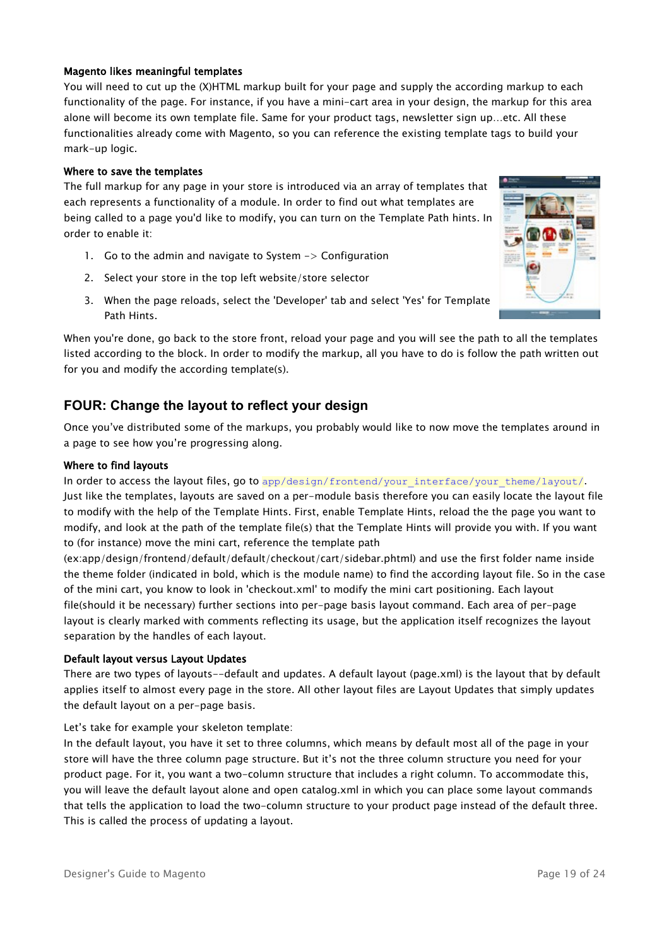#### Magento likes meaningful templates

You will need to cut up the (X)HTML markup built for your page and supply the according markup to each functionality of the page. For instance, if you have a mini-cart area in your design, the markup for this area alone will become its own template file. Same for your product tags, newsletter sign up…etc. All these functionalities already come with Magento, so you can reference the existing template tags to build your mark-up logic.

#### Where to save the templates

The full markup for any page in your store is introduced via an array of templates that each represents a functionality of a module. In order to find out what templates are being called to a page you'd like to modify, you can turn on the Template Path hints. In order to enable it:

- 1. Go to the admin and navigate to System -> Configuration
- 2. Select your store in the top left website/store selector
- 3. When the page reloads, select the 'Developer' tab and select 'Yes' for Template Path Hints.

When you're done, go back to the store front, reload your page and you will see the path to all the templates listed according to the block. In order to modify the markup, all you have to do is follow the path written out for you and modify the according template(s).

## **FOUR: Change the layout to reflect your design**

Once you've distributed some of the markups, you probably would like to now move the templates around in a page to see how you're progressing along.

#### Where to find layouts

In order to access the layout files, go to app/design/frontend/your\_interface/your\_theme/layout/.

Just like the templates, layouts are saved on a per-module basis therefore you can easily locate the layout file to modify with the help of the Template Hints. First, enable Template Hints, reload the the page you want to modify, and look at the path of the template file(s) that the Template Hints will provide you with. If you want to (for instance) move the mini cart, reference the template path

(ex:app/design/frontend/default/default/checkout/cart/sidebar.phtml) and use the first folder name inside the theme folder (indicated in bold, which is the module name) to find the according layout file. So in the case of the mini cart, you know to look in 'checkout.xml' to modify the mini cart positioning. Each layout file(should it be necessary) further sections into per-page basis layout command. Each area of per-page layout is clearly marked with comments reflecting its usage, but the application itself recognizes the layout separation by the handles of each layout.

#### Default layout versus Layout Updates

There are two types of layouts--default and updates. A default layout (page.xml) is the layout that by default applies itself to almost every page in the store. All other layout files are Layout Updates that simply updates the default layout on a per-page basis.

#### Let's take for example your skeleton template:

In the default layout, you have it set to three columns, which means by default most all of the page in your store will have the three column page structure. But it's not the three column structure you need for your product page. For it, you want a two-column structure that includes a right column. To accommodate this, you will leave the default layout alone and open catalog.xml in which you can place some layout commands that tells the application to load the two-column structure to your product page instead of the default three. This is called the process of updating a layout.

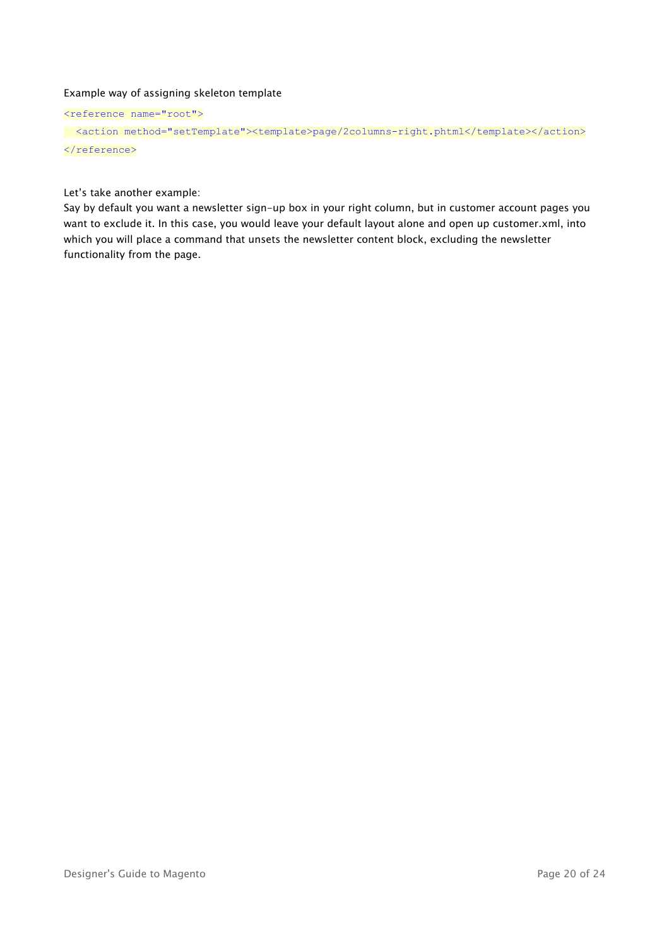## Example way of assigning skeleton template

```
<reference name="root">
```

```
<action method="setTemplate"><template>page/2columns-right.phtml</template></action>
</reference>
```
Let's take another example:

Say by default you want a newsletter sign-up box in your right column, but in customer account pages you want to exclude it. In this case, you would leave your default layout alone and open up customer.xml, into which you will place a command that unsets the newsletter content block, excluding the newsletter functionality from the page.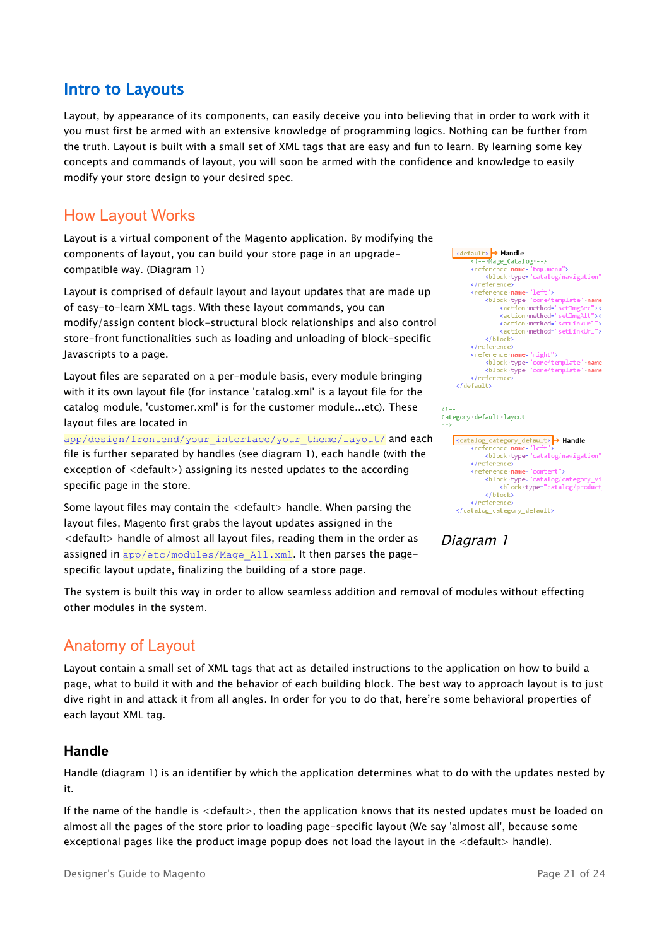## <span id="page-20-2"></span>Intro to Layouts

Layout, by appearance of its components, can easily deceive you into believing that in order to work with it you must first be armed with an extensive knowledge of programming logics. Nothing can be further from the truth. Layout is built with a small set of XML tags that are easy and fun to learn. By learning some key concepts and commands of layout, you will soon be armed with the confidence and knowledge to easily modify your store design to your desired spec.

## <span id="page-20-1"></span>How Layout Works

Layout is a virtual component of the Magento application. By modifying the components of layout, you can build your store page in an upgradecompatible way. (Diagram 1)

Layout is comprised of default layout and layout updates that are made up of easy-to-learn XML tags. With these layout commands, you can modify/assign content block-structural block relationships and also control store-front functionalities such as loading and unloading of block-specific Javascripts to a page.

Layout files are separated on a per-module basis, every module bringing with it its own layout file (for instance 'catalog.xml' is a layout file for the catalog module, 'customer.xml' is for the customer module...etc). These layout files are located in

app/design/frontend/your\_interface/your\_theme/layout/ and each file is further separated by handles (see diagram 1), each handle (with the exception of <default>) assigning its nested updates to the according specific page in the store.

Some layout files may contain the <default> handle. When parsing the layout files, Magento first grabs the layout updates assigned in the <default> handle of almost all layout files, reading them in the order as assigned in app/etc/modules/Mage\_All.xml. It then parses the pagespecific layout update, finalizing the building of a store page.

<default>> > Handle<br>
<l---Mage\_Catalog---> <reference name= top.menu"> </reference> </reference-name="left"><br><br/>block-type="core/template"  $-name$ <action method="setImgSr <action method="setImgAlt">< <action:method="setLinkUrl"> <action method= 'setLinkUrl">  $\langle$ /block> </reference> <reference name="right"> </reference> </default>

<catalog\_category\_default> → Handle kreference <block type="catalog/navigation" </reference> <reference name="content"> <block-type="catalog/category <block type="catalog/product </block> </reference> </catalog\_category\_default>

Diagram 1

Category default layout

The system is built this way in order to allow seamless addition and removal of modules without effecting other modules in the system.

## <span id="page-20-0"></span>Anatomy of Layout

Layout contain a small set of XML tags that act as detailed instructions to the application on how to build a page, what to build it with and the behavior of each building block. The best way to approach layout is to just dive right in and attack it from all angles. In order for you to do that, here're some behavioral properties of each layout XML tag.

## **Handle**

Handle (diagram 1) is an identifier by which the application determines what to do with the updates nested by it.

If the name of the handle is <default>, then the application knows that its nested updates must be loaded on almost all the pages of the store prior to loading page-specific layout (We say 'almost all', because some exceptional pages like the product image popup does not load the layout in the <default> handle).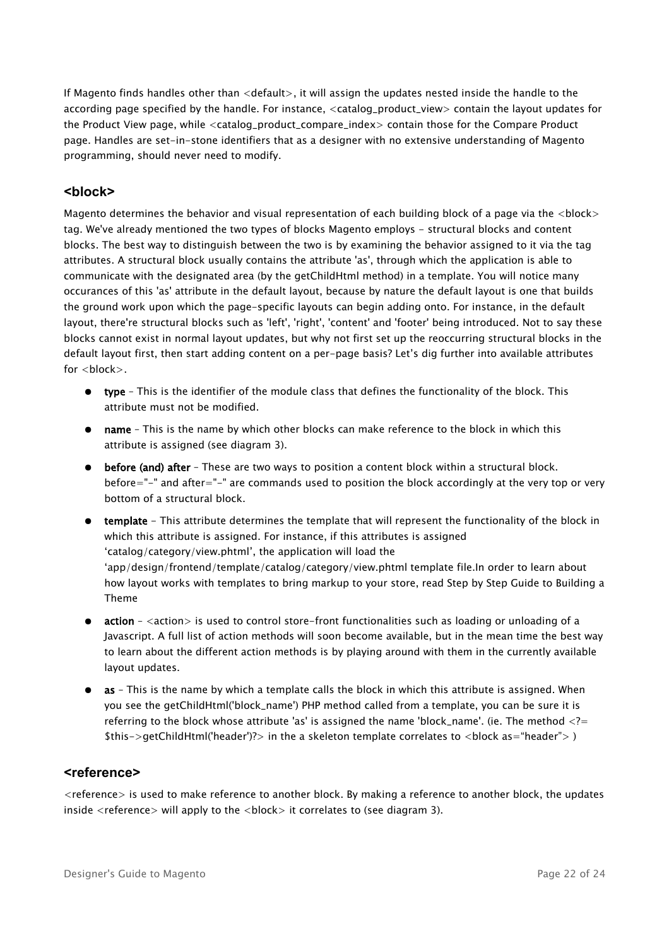If Magento finds handles other than <default>, it will assign the updates nested inside the handle to the according page specified by the handle. For instance, <catalog\_product\_view> contain the layout updates for the Product View page, while <catalog\_product\_compare\_index> contain those for the Compare Product page. Handles are set-in-stone identifiers that as a designer with no extensive understanding of Magento programming, should never need to modify.

## **<block>**

Magento determines the behavior and visual representation of each building block of a page via the <block> tag. We've already mentioned the two types of blocks Magento employs - structural blocks and content blocks. The best way to distinguish between the two is by examining the behavior assigned to it via the tag attributes. A structural block usually contains the attribute 'as', through which the application is able to communicate with the designated area (by the getChildHtml method) in a template. You will notice many occurances of this 'as' attribute in the default layout, because by nature the default layout is one that builds the ground work upon which the page-specific layouts can begin adding onto. For instance, in the default layout, there're structural blocks such as 'left', 'right', 'content' and 'footer' being introduced. Not to say these blocks cannot exist in normal layout updates, but why not first set up the reoccurring structural blocks in the default layout first, then start adding content on a per-page basis? Let's dig further into available attributes for **.** 

- type This is the identifier of the module class that defines the functionality of the block. This attribute must not be modified.
- name This is the name by which other blocks can make reference to the block in which this attribute is assigned (see diagram 3).
- before (and) after These are two ways to position a content block within a structural block. before="-" and after="-" are commands used to position the block accordingly at the very top or very bottom of a structural block.
- template This attribute determines the template that will represent the functionality of the block in which this attribute is assigned. For instance, if this attributes is assigned 'catalog/category/view.phtml', the application will load the 'app/design/frontend/template/catalog/category/view.phtml template file.In order to learn about how layout works with templates to bring markup to your store, read Step by Step Guide to Building a Theme
- action <action> is used to control store-front functionalities such as loading or unloading of a Javascript. A full list of action methods will soon become available, but in the mean time the best way to learn about the different action methods is by playing around with them in the currently available layout updates.
- as This is the name by which a template calls the block in which this attribute is assigned. When you see the getChildHtml('block\_name') PHP method called from a template, you can be sure it is referring to the block whose attribute 'as' is assigned the name 'block name'. (ie. The method  $\langle$ ?= \$this->getChildHtml('header')?> in the a skeleton template correlates to <block as="header"> )

#### **<reference>**

<reference> is used to make reference to another block. By making a reference to another block, the updates inside  $\leq$  reference $>$  will apply to the  $\leq$  block $>$  it correlates to (see diagram 3).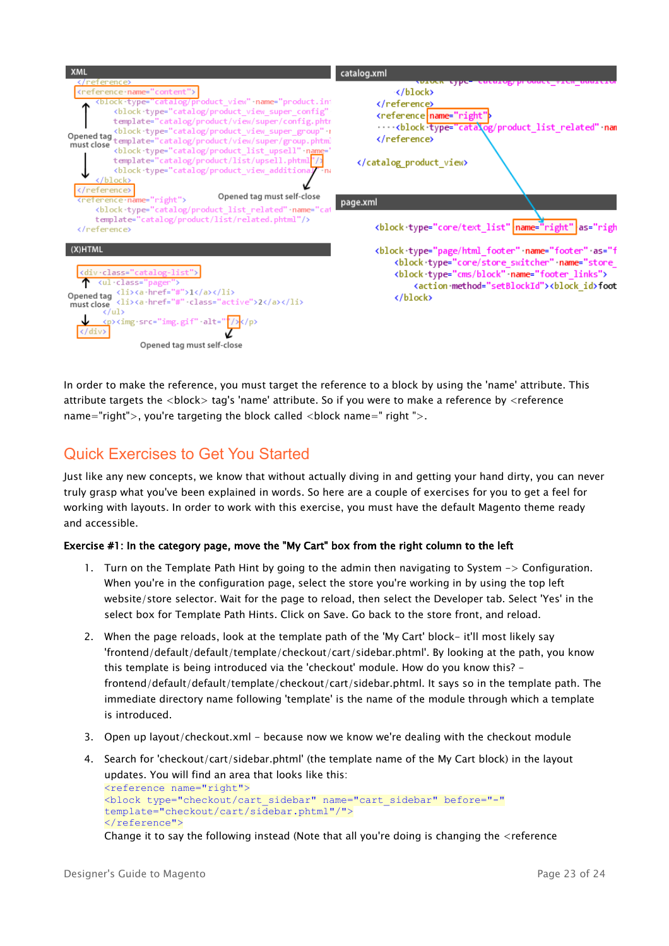

In order to make the reference, you must target the reference to a block by using the 'name' attribute. This attribute targets the <block> tag's 'name' attribute. So if you were to make a reference by <reference name="right">, you're targeting the block called  $\langle$ block name=" right ">.

## <span id="page-22-0"></span>Quick Exercises to Get You Started

Just like any new concepts, we know that without actually diving in and getting your hand dirty, you can never truly grasp what you've been explained in words. So here are a couple of exercises for you to get a feel for working with layouts. In order to work with this exercise, you must have the default Magento theme ready and accessible.

## Exercise #1: In the category page, move the "My Cart" box from the right column to the left

- 1. Turn on the Template Path Hint by going to the admin then navigating to System -> Configuration. When you're in the configuration page, select the store you're working in by using the top left website/store selector. Wait for the page to reload, then select the Developer tab. Select 'Yes' in the select box for Template Path Hints. Click on Save. Go back to the store front, and reload.
- 2. When the page reloads, look at the template path of the 'My Cart' block- it'll most likely say 'frontend/default/default/template/checkout/cart/sidebar.phtml'. By looking at the path, you know this template is being introduced via the 'checkout' module. How do you know this? frontend/default/default/template/checkout/cart/sidebar.phtml. It says so in the template path. The immediate directory name following 'template' is the name of the module through which a template is introduced.
- 3. Open up layout/checkout.xml because now we know we're dealing with the checkout module
- 4. Search for 'checkout/cart/sidebar.phtml' (the template name of the My Cart block) in the layout updates. You will find an area that looks like this: <reference name="right"> <block type="checkout/cart\_sidebar" name="cart\_sidebar" before="-" template="checkout/cart/sidebar.phtml"/"> </reference">

Change it to say the following instead (Note that all you're doing is changing the <reference